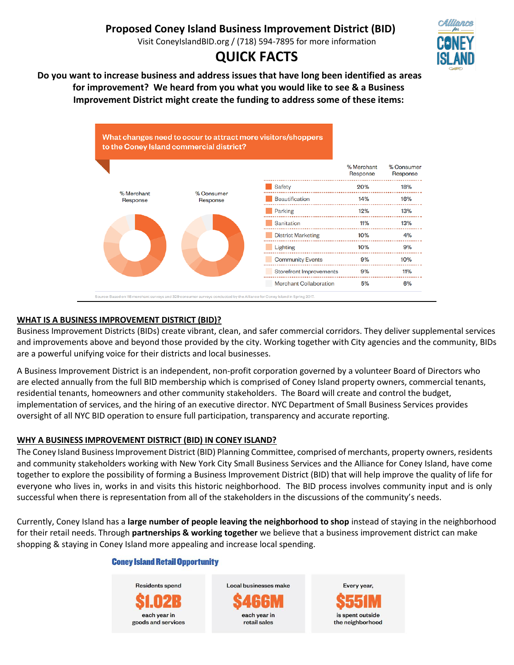# **Proposed Coney Island Business Improvement District (BID)**

Visit ConeyIslandBID.org / (718) 594-7895 for more information

# **QUICK FACTS**



**Do you want to increase business and address issues that have long been identified as areas for improvement? We heard from you what you would like to see & a Business Improvement District might create the funding to address some of these items:**



# **WHAT IS A BUSINESS IMPROVEMENT DISTRICT (BID)?**

Business Improvement Districts (BIDs) create vibrant, clean, and safer commercial corridors. They deliver supplemental services and improvements above and beyond those provided by the city. Working together with City agencies and the community, BIDs are a powerful unifying voice for their districts and local businesses.

A Business Improvement District is an independent, non-profit corporation governed by a volunteer Board of Directors who are elected annually from the full BID membership which is comprised of Coney Island property owners, commercial tenants, residential tenants, homeowners and other community stakeholders. The Board will create and control the budget, implementation of services, and the hiring of an executive director. NYC Department of Small Business Services provides oversight of all NYC BID operation to ensure full participation, transparency and accurate reporting.

# **WHY A BUSINESS IMPROVEMENT DISTRICT (BID) IN CONEY ISLAND?**

The Coney Island Business Improvement District (BID) Planning Committee, comprised of merchants, property owners, residents and community stakeholders working with New York City Small Business Services and the Alliance for Coney Island, have come together to explore the possibility of forming a Business Improvement District (BID) that will help improve the quality of life for everyone who lives in, works in and visits this historic neighborhood. The BID process involves community input and is only successful when there is representation from all of the stakeholders in the discussions of the community's needs.

Currently, Coney Island has a **large number of people leaving the neighborhood to shop** instead of staying in the neighborhood for their retail needs. Through **partnerships & working together** we believe that a business improvement district can make shopping & staying in Coney Island more appealing and increase local spending.

#### **Coney Island Retail Opportunity**





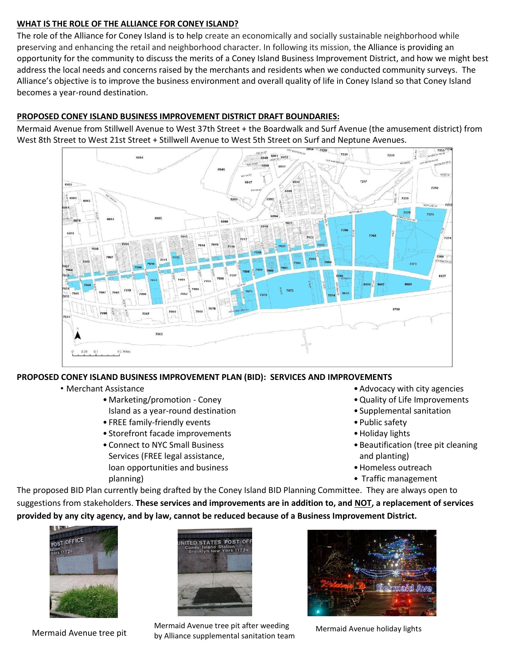### **WHAT IS THE ROLE OF THE ALLIANCE FOR CONEY ISLAND?**

The role of the Alliance for Coney Island is to help create an economically and socially sustainable neighborhood while preserving and enhancing the retail and neighborhood character. In following its mission, the Alliance is providing an opportunity for the community to discuss the merits of a Coney Island Business Improvement District, and how we might best address the local needs and concerns raised by the merchants and residents when we conducted community surveys. The Alliance's objective is to improve the business environment and overall quality of life in Coney Island so that Coney Island becomes a year-round destination.

# **PROPOSED CONEY ISLAND BUSINESS IMPROVEMENT DISTRICT DRAFT BOUNDARIES:**

Mermaid Avenue from Stillwell Avenue to West 37th Street + the Boardwalk and Surf Avenue (the amusement district) from West 8th Street to West 21st Street + Stillwell Avenue to West 5th Street on Surf and Neptune Avenues.



# **PROPOSED CONEY ISLAND BUSINESS IMPROVEMENT PLAN (BID): SERVICES AND IMPROVEMENTS**

- Merchant Assistance
	- •Marketing/promotion Coney
		- Island as a year-round destination
	- FREE family-friendly events
	- Storefront facade improvements
	- •Connect to NYC Small Business Services (FREE legal assistance, loan opportunities and business planning)
- •Advocacy with city agencies
- •Quality of Life Improvements
- Supplemental sanitation
- Public safety
- •Holiday lights
- •Beautification (tree pit cleaning and planting)
- •Homeless outreach
- Traffic management

The proposed BID Plan currently being drafted by the Coney Island BID Planning Committee. They are always open to suggestions from stakeholders. **These services and improvements are in addition to, and NOT, a replacement of services provided by any city agency, and by law, cannot be reduced because of a Business Improvement District.**



Mermaid Avenue tree pit



Mermaid Avenue tree pit after weeding by Alliance supplemental sanitation team



Mermaid Avenue holiday lights